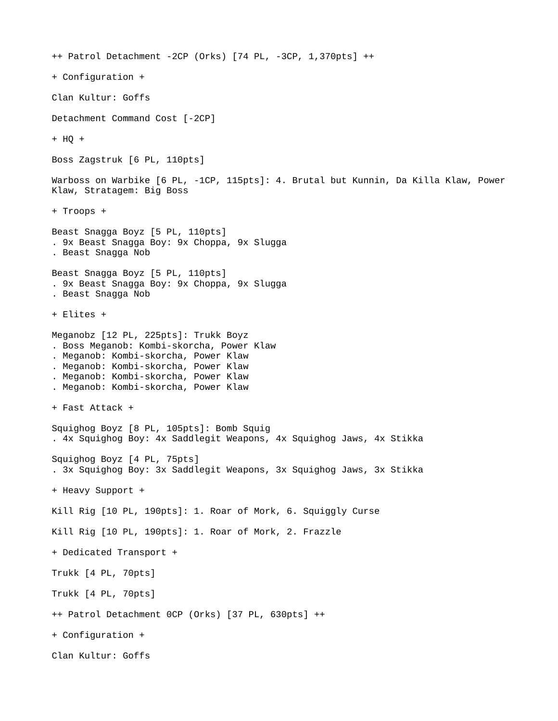++ Patrol Detachment -2CP (Orks) [74 PL, -3CP, 1,370pts] ++ + Configuration + Clan Kultur: Goffs Detachment Command Cost [-2CP] + HQ + Boss Zagstruk [6 PL, 110pts] Warboss on Warbike [6 PL, -1CP, 115pts]: 4. Brutal but Kunnin, Da Killa Klaw, Power Klaw, Stratagem: Big Boss + Troops + Beast Snagga Boyz [5 PL, 110pts] . 9x Beast Snagga Boy: 9x Choppa, 9x Slugga . Beast Snagga Nob Beast Snagga Boyz [5 PL, 110pts] . 9x Beast Snagga Boy: 9x Choppa, 9x Slugga . Beast Snagga Nob + Elites + Meganobz [12 PL, 225pts]: Trukk Boyz . Boss Meganob: Kombi-skorcha, Power Klaw . Meganob: Kombi-skorcha, Power Klaw . Meganob: Kombi-skorcha, Power Klaw . Meganob: Kombi-skorcha, Power Klaw . Meganob: Kombi-skorcha, Power Klaw + Fast Attack + Squighog Boyz [8 PL, 105pts]: Bomb Squig . 4x Squighog Boy: 4x Saddlegit Weapons, 4x Squighog Jaws, 4x Stikka Squighog Boyz [4 PL, 75pts] . 3x Squighog Boy: 3x Saddlegit Weapons, 3x Squighog Jaws, 3x Stikka + Heavy Support + Kill Rig [10 PL, 190pts]: 1. Roar of Mork, 6. Squiggly Curse Kill Rig [10 PL, 190pts]: 1. Roar of Mork, 2. Frazzle + Dedicated Transport + Trukk [4 PL, 70pts] Trukk [4 PL, 70pts] ++ Patrol Detachment 0CP (Orks) [37 PL, 630pts] ++ + Configuration + Clan Kultur: Goffs